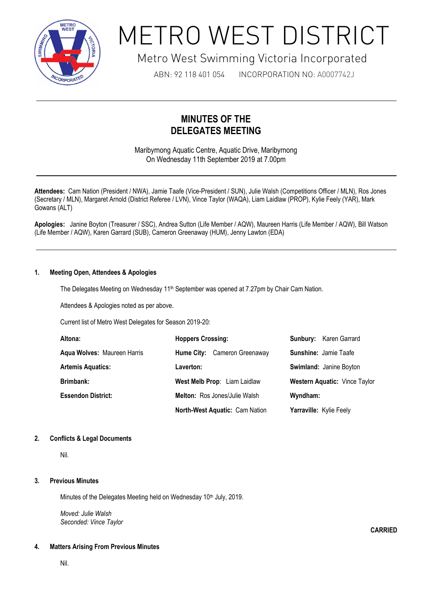

# METRO WEST DISTRICT

# Metro West Swimming Victoria Incorporated

ABN: 92 118 401 054 INCORPORATION NO: A0007742J

# **MINUTES OF THE DELEGATES MEETING**

Maribyrnong Aquatic Centre, Aquatic Drive, Maribyrnong On Wednesday 11th September 2019 at 7.00pm

**Attendees:** Cam Nation (President / NWA), Jamie Taafe (Vice-President / SUN), Julie Walsh (Competitions Officer / MLN), Ros Jones (Secretary / MLN), Margaret Arnold (District Referee / LVN), Vince Taylor (WAQA), Liam Laidlaw (PROP), Kylie Feely (YAR), Mark Gowans (ALT)

**Apologies:** Janine Boyton (Treasurer / SSC), Andrea Sutton (Life Member / AQW), Maureen Harris (Life Member / AQW), Bill Watson (Life Member / AQW), Karen Garrard (SUB), Cameron Greenaway (HUM), Jenny Lawton (EDA)

# **1. Meeting Open, Attendees & Apologies**

The Delegates Meeting on Wednesday 11<sup>th</sup> September was opened at 7.27pm by Chair Cam Nation.

Attendees & Apologies noted as per above.

1

Current list of Metro West Delegates for Season 2019-20:

| Altona:                     | <b>Hoppers Crossing:</b>       | <b>Sunbury:</b> Karen Garrard |
|-----------------------------|--------------------------------|-------------------------------|
| Aqua Wolves: Maureen Harris | Hume City: Cameron Greenaway   | <b>Sunshine: Jamie Taafe</b>  |
| <b>Artemis Aquatics:</b>    | Laverton:                      | Swimland: Janine Boyton       |
| <b>Brimbank:</b>            | West Melb Prop: Liam Laidlaw   | Western Aquatic: Vince Taylor |
| <b>Essendon District:</b>   | Melton: Ros Jones/Julie Walsh  | Wyndham:                      |
|                             | North-West Aquatic: Cam Nation | Yarraville: Kylie Feely       |

**CARRIED**

## **2. Conflicts & Legal Documents**

Nil.

## **3. Previous Minutes**

Minutes of the Delegates Meeting held on Wednesday 10<sup>th</sup> July, 2019.

*Moved: Julie Walsh Seconded: Vince Taylor*

## **4. Matters Arising From Previous Minutes**

Nil.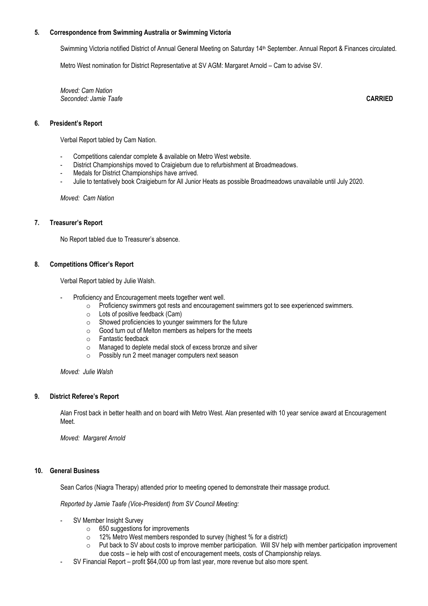#### **5. Correspondence from Swimming Australia or Swimming Victoria**

Swimming Victoria notified District of Annual General Meeting on Saturday 14<sup>th</sup> September. Annual Report & Finances circulated.

Metro West nomination for District Representative at SV AGM: Margaret Arnold – Cam to advise SV.

*Moved: Cam Nation Seconded: Jamie Taafe* **CARRIED**

**6. President's Report**

Verbal Report tabled by Cam Nation.

- Competitions calendar complete & available on Metro West website.
- District Championships moved to Craigieburn due to refurbishment at Broadmeadows.
- Medals for District Championships have arrived.
- Julie to tentatively book Craigieburn for All Junior Heats as possible Broadmeadows unavailable until July 2020.

*Moved: Cam Nation*

#### **7. Treasurer's Report**

No Report tabled due to Treasurer's absence.

#### **8. Competitions Officer's Report**

Verbal Report tabled by Julie Walsh.

- Proficiency and Encouragement meets together went well.
	- o Proficiency swimmers got rests and encouragement swimmers got to see experienced swimmers.
	- o Lots of positive feedback (Cam)
	- $\circ$  Showed proficiencies to younger swimmers for the future
	- $\circ$  Good turn out of Melton members as helpers for the meets
	- o Fantastic feedback
	- o Managed to deplete medal stock of excess bronze and silver
	- o Possibly run 2 meet manager computers next season

*Moved: Julie Walsh*

#### **9. District Referee's Report**

Alan Frost back in better health and on board with Metro West. Alan presented with 10 year service award at Encouragement Meet.

*Moved: Margaret Arnold*

#### **10. General Business**

Sean Carlos (Niagra Therapy) attended prior to meeting opened to demonstrate their massage product.

*Reported by Jamie Taafe (Vice-President) from SV Council Meeting:*

- SV Member Insight Survey
	- o 650 suggestions for improvements
	- o 12% Metro West members responded to survey (highest % for a district)
	- Put back to SV about costs to improve member participation. Will SV help with member participation improvement due costs – ie help with cost of encouragement meets, costs of Championship relays.
- SV Financial Report profit \$64,000 up from last year, more revenue but also more spent.